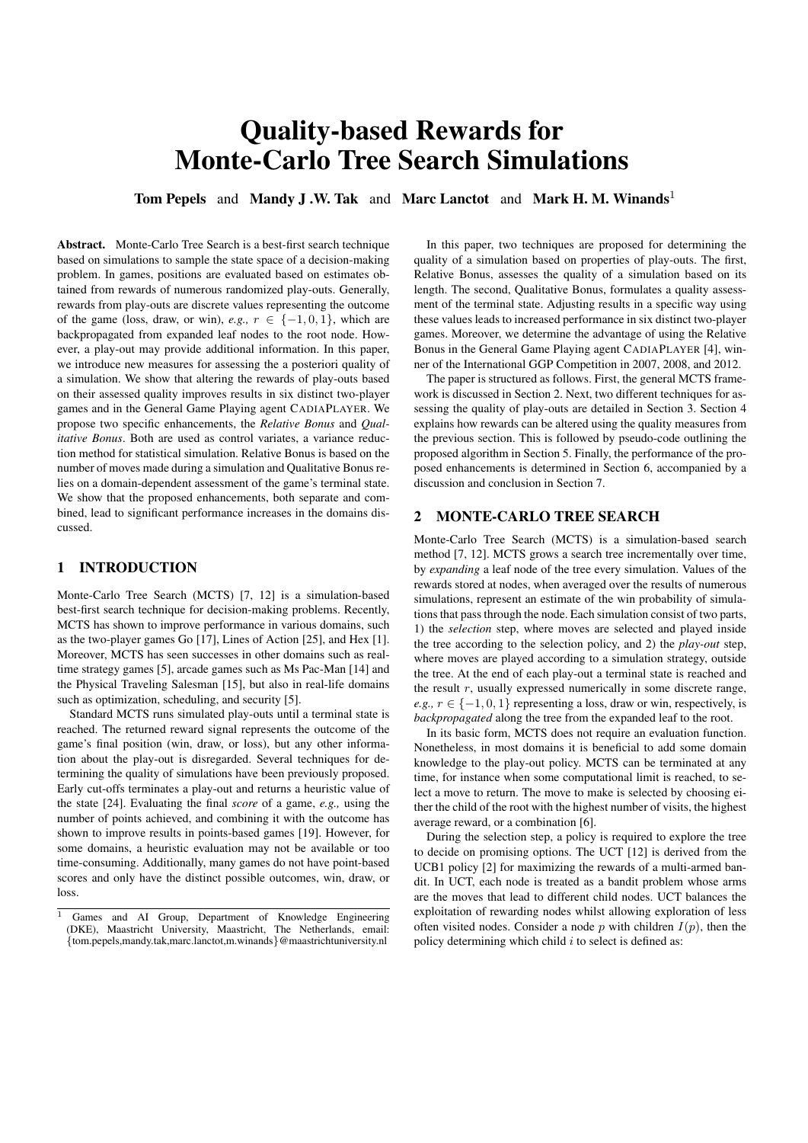# Quality-based Rewards for Monte-Carlo Tree Search Simulations

Tom Pepels and Mandy J.W. Tak and Marc Lanctot and Mark H.M. Winands<sup>1</sup>

Abstract. Monte-Carlo Tree Search is a best-first search technique based on simulations to sample the state space of a decision-making problem. In games, positions are evaluated based on estimates obtained from rewards of numerous randomized play-outs. Generally, rewards from play-outs are discrete values representing the outcome of the game (loss, draw, or win), *e.g.*,  $r \in \{-1, 0, 1\}$ , which are backpropagated from expanded leaf nodes to the root node. However, a play-out may provide additional information. In this paper, we introduce new measures for assessing the a posteriori quality of a simulation. We show that altering the rewards of play-outs based on their assessed quality improves results in six distinct two-player games and in the General Game Playing agent CADIAPLAYER. We propose two specific enhancements, the *Relative Bonus* and *Qualitative Bonus*. Both are used as control variates, a variance reduction method for statistical simulation. Relative Bonus is based on the number of moves made during a simulation and Qualitative Bonus relies on a domain-dependent assessment of the game's terminal state. We show that the proposed enhancements, both separate and combined, lead to significant performance increases in the domains discussed.

## 1 INTRODUCTION

Monte-Carlo Tree Search (MCTS) [7, 12] is a simulation-based best-first search technique for decision-making problems. Recently, MCTS has shown to improve performance in various domains, such as the two-player games Go [17], Lines of Action [25], and Hex [1]. Moreover, MCTS has seen successes in other domains such as realtime strategy games [5], arcade games such as Ms Pac-Man [14] and the Physical Traveling Salesman [15], but also in real-life domains such as optimization, scheduling, and security [5].

Standard MCTS runs simulated play-outs until a terminal state is reached. The returned reward signal represents the outcome of the game's final position (win, draw, or loss), but any other information about the play-out is disregarded. Several techniques for determining the quality of simulations have been previously proposed. Early cut-offs terminates a play-out and returns a heuristic value of the state [24]. Evaluating the final *score* of a game, *e.g.,* using the number of points achieved, and combining it with the outcome has shown to improve results in points-based games [19]. However, for some domains, a heuristic evaluation may not be available or too time-consuming. Additionally, many games do not have point-based scores and only have the distinct possible outcomes, win, draw, or loss.

In this paper, two techniques are proposed for determining the quality of a simulation based on properties of play-outs. The first, Relative Bonus, assesses the quality of a simulation based on its length. The second, Qualitative Bonus, formulates a quality assessment of the terminal state. Adjusting results in a specific way using these values leads to increased performance in six distinct two-player games. Moreover, we determine the advantage of using the Relative Bonus in the General Game Playing agent CADIAPLAYER [4], winner of the International GGP Competition in 2007, 2008, and 2012.

The paper is structured as follows. First, the general MCTS framework is discussed in Section 2. Next, two different techniques for assessing the quality of play-outs are detailed in Section 3. Section 4 explains how rewards can be altered using the quality measures from the previous section. This is followed by pseudo-code outlining the proposed algorithm in Section 5. Finally, the performance of the proposed enhancements is determined in Section 6, accompanied by a discussion and conclusion in Section 7.

## 2 MONTE-CARLO TREE SEARCH

Monte-Carlo Tree Search (MCTS) is a simulation-based search method [7, 12]. MCTS grows a search tree incrementally over time, by *expanding* a leaf node of the tree every simulation. Values of the rewards stored at nodes, when averaged over the results of numerous simulations, represent an estimate of the win probability of simulations that pass through the node. Each simulation consist of two parts, 1) the *selection* step, where moves are selected and played inside the tree according to the selection policy, and 2) the *play-out* step, where moves are played according to a simulation strategy, outside the tree. At the end of each play-out a terminal state is reached and the result  $r$ , usually expressed numerically in some discrete range, *e.g.,*  $r \in \{-1, 0, 1\}$  representing a loss, draw or win, respectively, is *backpropagated* along the tree from the expanded leaf to the root.

In its basic form, MCTS does not require an evaluation function. Nonetheless, in most domains it is beneficial to add some domain knowledge to the play-out policy. MCTS can be terminated at any time, for instance when some computational limit is reached, to select a move to return. The move to make is selected by choosing either the child of the root with the highest number of visits, the highest average reward, or a combination [6].

During the selection step, a policy is required to explore the tree to decide on promising options. The UCT [12] is derived from the UCB1 policy [2] for maximizing the rewards of a multi-armed bandit. In UCT, each node is treated as a bandit problem whose arms are the moves that lead to different child nodes. UCT balances the exploitation of rewarding nodes whilst allowing exploration of less often visited nodes. Consider a node p with children  $I(p)$ , then the policy determining which child  $i$  to select is defined as:

<sup>1</sup> Games and AI Group, Department of Knowledge Engineering (DKE), Maastricht University, Maastricht, The Netherlands, email: {tom.pepels,mandy.tak,marc.lanctot,m.winands}@maastrichtuniversity.nl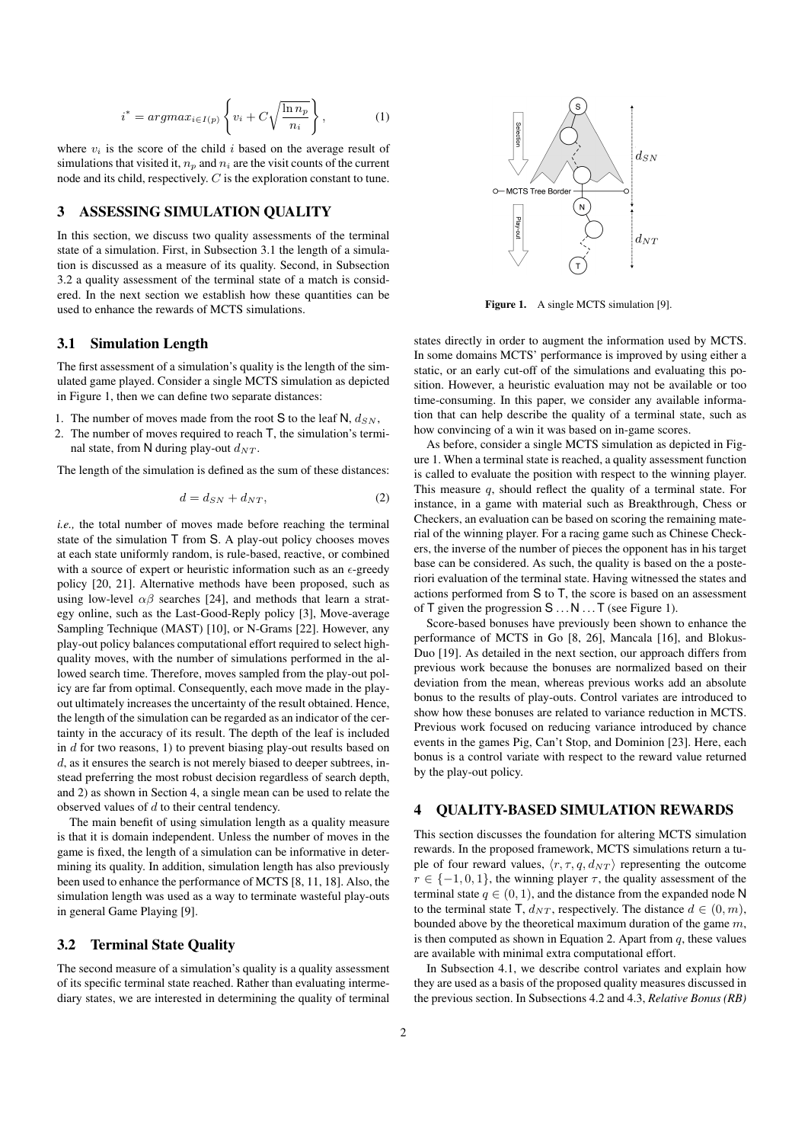$$
i^* = argmax_{i \in I(p)} \left\{ v_i + C \sqrt{\frac{\ln n_p}{n_i}} \right\},\tag{1}
$$

where  $v_i$  is the score of the child i based on the average result of simulations that visited it,  $n_p$  and  $n_i$  are the visit counts of the current node and its child, respectively. C is the exploration constant to tune.

## 3 ASSESSING SIMULATION QUALITY

In this section, we discuss two quality assessments of the terminal state of a simulation. First, in Subsection 3.1 the length of a simulation is discussed as a measure of its quality. Second, in Subsection 3.2 a quality assessment of the terminal state of a match is considered. In the next section we establish how these quantities can be used to enhance the rewards of MCTS simulations.

#### 3.1 Simulation Length

The first assessment of a simulation's quality is the length of the simulated game played. Consider a single MCTS simulation as depicted in Figure 1, then we can define two separate distances:

- 1. The number of moves made from the root S to the leaf N,  $d_{SN}$ ,
- 2. The number of moves required to reach T, the simulation's terminal state, from N during play-out  $d_{NT}$ .

The length of the simulation is defined as the sum of these distances:

$$
d = d_{SN} + d_{NT},\tag{2}
$$

*i.e.,* the total number of moves made before reaching the terminal state of the simulation T from S. A play-out policy chooses moves at each state uniformly random, is rule-based, reactive, or combined with a source of expert or heuristic information such as an  $\epsilon$ -greedy policy [20, 21]. Alternative methods have been proposed, such as using low-level  $\alpha\beta$  searches [24], and methods that learn a strategy online, such as the Last-Good-Reply policy [3], Move-average Sampling Technique (MAST) [10], or N-Grams [22]. However, any play-out policy balances computational effort required to select highquality moves, with the number of simulations performed in the allowed search time. Therefore, moves sampled from the play-out policy are far from optimal. Consequently, each move made in the playout ultimately increases the uncertainty of the result obtained. Hence, the length of the simulation can be regarded as an indicator of the certainty in the accuracy of its result. The depth of the leaf is included in  $d$  for two reasons, 1) to prevent biasing play-out results based on d, as it ensures the search is not merely biased to deeper subtrees, instead preferring the most robust decision regardless of search depth, and 2) as shown in Section 4, a single mean can be used to relate the observed values of  $d$  to their central tendency.

The main benefit of using simulation length as a quality measure is that it is domain independent. Unless the number of moves in the game is fixed, the length of a simulation can be informative in determining its quality. In addition, simulation length has also previously been used to enhance the performance of MCTS [8, 11, 18]. Also, the simulation length was used as a way to terminate wasteful play-outs in general Game Playing [9].

## 3.2 Terminal State Quality

The second measure of a simulation's quality is a quality assessment of its specific terminal state reached. Rather than evaluating intermediary states, we are interested in determining the quality of terminal



Figure 1. A single MCTS simulation [9].

states directly in order to augment the information used by MCTS. In some domains MCTS' performance is improved by using either a static, or an early cut-off of the simulations and evaluating this position. However, a heuristic evaluation may not be available or too time-consuming. In this paper, we consider any available information that can help describe the quality of a terminal state, such as how convincing of a win it was based on in-game scores.

As before, consider a single MCTS simulation as depicted in Figure 1. When a terminal state is reached, a quality assessment function is called to evaluate the position with respect to the winning player. This measure  $q$ , should reflect the quality of a terminal state. For instance, in a game with material such as Breakthrough, Chess or Checkers, an evaluation can be based on scoring the remaining material of the winning player. For a racing game such as Chinese Checkers, the inverse of the number of pieces the opponent has in his target base can be considered. As such, the quality is based on the a posteriori evaluation of the terminal state. Having witnessed the states and actions performed from S to T, the score is based on an assessment of  $\overline{T}$  given the progression  $S \dots N \dots \overline{T}$  (see Figure 1).

Score-based bonuses have previously been shown to enhance the performance of MCTS in Go [8, 26], Mancala [16], and Blokus-Duo [19]. As detailed in the next section, our approach differs from previous work because the bonuses are normalized based on their deviation from the mean, whereas previous works add an absolute bonus to the results of play-outs. Control variates are introduced to show how these bonuses are related to variance reduction in MCTS. Previous work focused on reducing variance introduced by chance events in the games Pig, Can't Stop, and Dominion [23]. Here, each bonus is a control variate with respect to the reward value returned by the play-out policy.

## 4 QUALITY-BASED SIMULATION REWARDS

This section discusses the foundation for altering MCTS simulation rewards. In the proposed framework, MCTS simulations return a tuple of four reward values,  $\langle r, \tau, q, d_{NT} \rangle$  representing the outcome  $r \in \{-1, 0, 1\}$ , the winning player  $\tau$ , the quality assessment of the terminal state  $q \in (0, 1)$ , and the distance from the expanded node N to the terminal state  $\mathsf{T}, d_{NT}$ , respectively. The distance  $d \in (0, m)$ , bounded above by the theoretical maximum duration of the game  $m$ , is then computed as shown in Equation 2. Apart from  $q$ , these values are available with minimal extra computational effort.

In Subsection 4.1, we describe control variates and explain how they are used as a basis of the proposed quality measures discussed in the previous section. In Subsections 4.2 and 4.3, *Relative Bonus (RB)*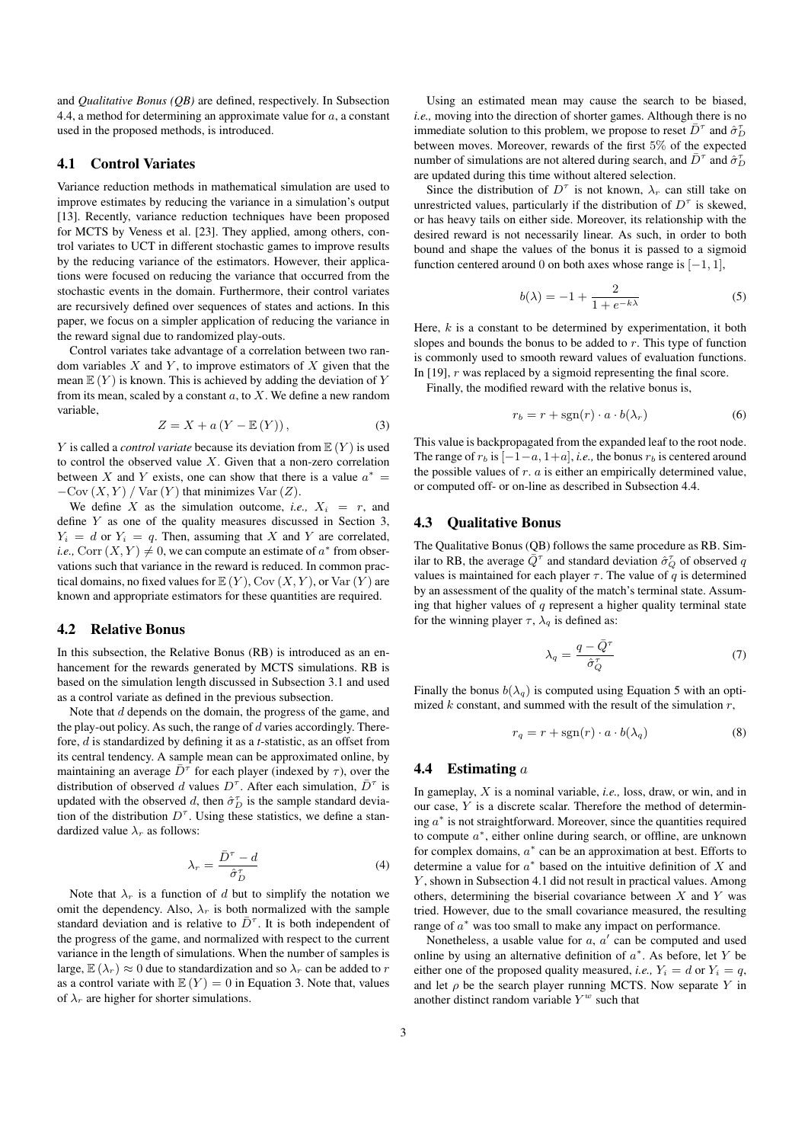and *Qualitative Bonus (QB)* are defined, respectively. In Subsection 4.4, a method for determining an approximate value for  $a$ , a constant used in the proposed methods, is introduced.

## 4.1 Control Variates

Variance reduction methods in mathematical simulation are used to improve estimates by reducing the variance in a simulation's output [13]. Recently, variance reduction techniques have been proposed for MCTS by Veness et al. [23]. They applied, among others, control variates to UCT in different stochastic games to improve results by the reducing variance of the estimators. However, their applications were focused on reducing the variance that occurred from the stochastic events in the domain. Furthermore, their control variates are recursively defined over sequences of states and actions. In this paper, we focus on a simpler application of reducing the variance in the reward signal due to randomized play-outs.

Control variates take advantage of a correlation between two random variables  $X$  and  $Y$ , to improve estimators of  $X$  given that the mean  $E(Y)$  is known. This is achieved by adding the deviation of Y from its mean, scaled by a constant  $a$ , to  $X$ . We define a new random variable,

$$
Z = X + a(Y - \mathbb{E}(Y)), \tag{3}
$$

Y is called a *control variate* because its deviation from E (Y ) is used to control the observed value  $X$ . Given that a non-zero correlation between X and Y exists, one can show that there is a value  $a^* =$  $-Cov(X, Y) / Var(Y)$  that minimizes Var  $(Z)$ .

We define X as the simulation outcome, *i.e.*,  $X_i = r$ , and define Y as one of the quality measures discussed in Section 3,  $Y_i = d$  or  $Y_i = q$ . Then, assuming that X and Y are correlated, *i.e.*, Corr  $(X, Y) \neq 0$ , we can compute an estimate of  $a^*$  from observations such that variance in the reward is reduced. In common practical domains, no fixed values for  $E(Y)$ , Cov  $(X, Y)$ , or Var  $(Y)$  are known and appropriate estimators for these quantities are required.

## 4.2 Relative Bonus

In this subsection, the Relative Bonus (RB) is introduced as an enhancement for the rewards generated by MCTS simulations. RB is based on the simulation length discussed in Subsection 3.1 and used as a control variate as defined in the previous subsection.

Note that d depends on the domain, the progress of the game, and the play-out policy. As such, the range of  $d$  varies accordingly. Therefore, d is standardized by defining it as a *t*-statistic, as an offset from its central tendency. A sample mean can be approximated online, by maintaining an average  $\bar{D}^{\tau}$  for each player (indexed by  $\tau$ ), over the distribution of observed d values  $D^{\tau}$ . After each simulation,  $\bar{D}^{\tau}$  is updated with the observed d, then  $\hat{\sigma}_D^{\tau}$  is the sample standard deviation of the distribution  $D^{\tau}$ . Using these statistics, we define a standardized value  $\lambda_r$  as follows:

$$
\lambda_r = \frac{\bar{D}^\tau - d}{\hat{\sigma}_D^\tau} \tag{4}
$$

Note that  $\lambda_r$  is a function of d but to simplify the notation we omit the dependency. Also,  $\lambda_r$  is both normalized with the sample standard deviation and is relative to  $\bar{D}^{\tau}$ . It is both independent of the progress of the game, and normalized with respect to the current variance in the length of simulations. When the number of samples is large,  $\mathbb{E}(\lambda_r) \approx 0$  due to standardization and so  $\lambda_r$  can be added to r as a control variate with  $\mathbb{E}(Y) = 0$  in Equation 3. Note that, values of  $\lambda_r$  are higher for shorter simulations.

Using an estimated mean may cause the search to be biased, *i.e.,* moving into the direction of shorter games. Although there is no immediate solution to this problem, we propose to reset  $\bar{D}^{\tau}$  and  $\hat{\sigma}_{D}^{\tau}$ between moves. Moreover, rewards of the first 5% of the expected number of simulations are not altered during search, and  $\bar{D}^{\tau}$  and  $\hat{\sigma}_{D}^{\tau}$ are updated during this time without altered selection.

Since the distribution of  $D^{\tau}$  is not known,  $\lambda_r$  can still take on unrestricted values, particularly if the distribution of  $D^{\tau}$  is skewed, or has heavy tails on either side. Moreover, its relationship with the desired reward is not necessarily linear. As such, in order to both bound and shape the values of the bonus it is passed to a sigmoid function centered around 0 on both axes whose range is  $[-1, 1]$ ,

$$
b(\lambda) = -1 + \frac{2}{1 + e^{-k\lambda}}\tag{5}
$$

Here,  $k$  is a constant to be determined by experimentation, it both slopes and bounds the bonus to be added to  $r$ . This type of function is commonly used to smooth reward values of evaluation functions. In  $[19]$ , r was replaced by a sigmoid representing the final score.

Finally, the modified reward with the relative bonus is,

$$
r_b = r + \text{sgn}(r) \cdot a \cdot b(\lambda_r) \tag{6}
$$

This value is backpropagated from the expanded leaf to the root node. The range of  $r_b$  is  $[-1-a, 1+a]$ , *i.e.*, the bonus  $r_b$  is centered around the possible values of  $r$ .  $a$  is either an empirically determined value, or computed off- or on-line as described in Subsection 4.4.

#### 4.3 Qualitative Bonus

The Qualitative Bonus (QB) follows the same procedure as RB. Similar to RB, the average  $\overline{Q}^{\tau}$  and standard deviation  $\hat{\sigma}_{Q}^{\tau}$  of observed q values is maintained for each player  $\tau$ . The value of q is determined by an assessment of the quality of the match's terminal state. Assuming that higher values of  $q$  represent a higher quality terminal state for the winning player  $\tau$ ,  $\lambda_q$  is defined as:

$$
\lambda_q = \frac{q - \bar{Q}^\tau}{\hat{\sigma}_Q^\tau} \tag{7}
$$

Finally the bonus  $b(\lambda_q)$  is computed using Equation 5 with an optimized  $k$  constant, and summed with the result of the simulation  $r$ ,

$$
r_q = r + \text{sgn}(r) \cdot a \cdot b(\lambda_q) \tag{8}
$$

## **4.4** Estimating  $a$

In gameplay, X is a nominal variable, *i.e.,* loss, draw, or win, and in our case, Y is a discrete scalar. Therefore the method of determining  $a^*$  is not straightforward. Moreover, since the quantities required to compute  $a^*$ , either online during search, or offline, are unknown for complex domains,  $a^*$  can be an approximation at best. Efforts to determine a value for  $a^*$  based on the intuitive definition of  $X$  and Y, shown in Subsection 4.1 did not result in practical values. Among others, determining the biserial covariance between  $X$  and  $Y$  was tried. However, due to the small covariance measured, the resulting range of  $a^*$  was too small to make any impact on performance.

Nonetheless, a usable value for  $a$ ,  $a'$  can be computed and used online by using an alternative definition of  $a^*$ . As before, let Y be either one of the proposed quality measured, *i.e.*,  $Y_i = d$  or  $Y_i = q$ , and let  $\rho$  be the search player running MCTS. Now separate Y in another distinct random variable  $Y^w$  such that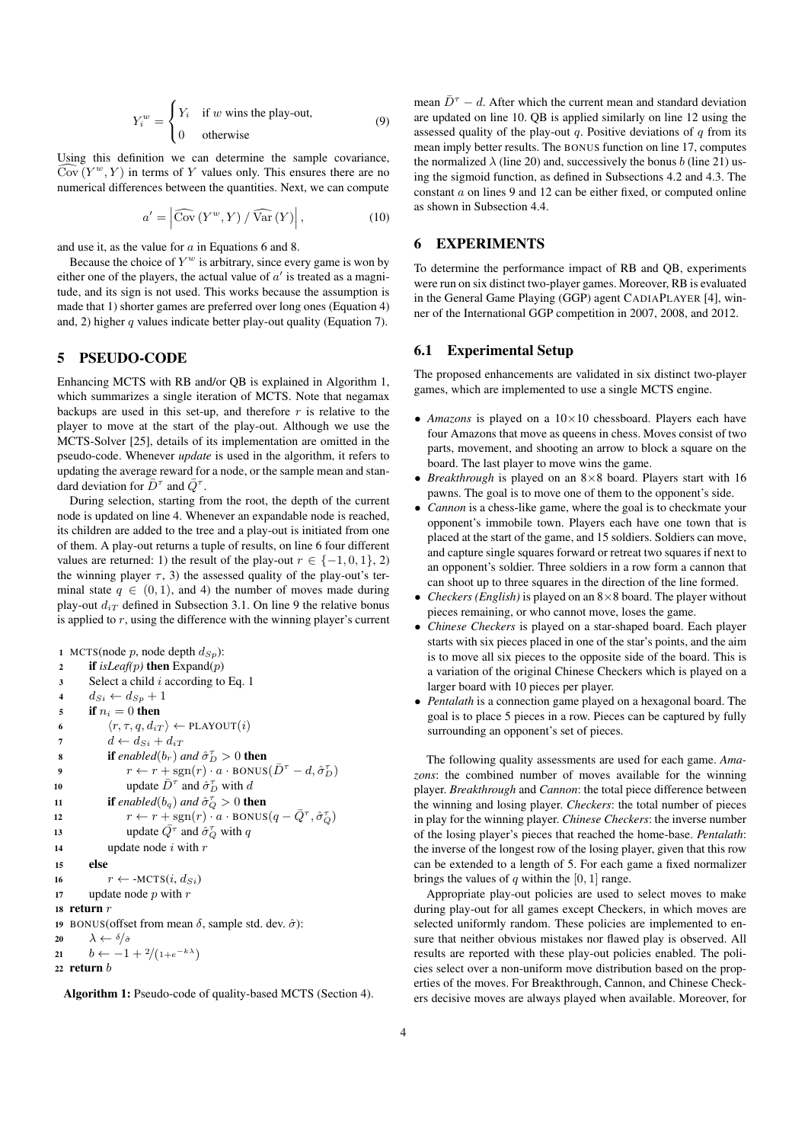$$
Y_i^w = \begin{cases} Y_i & \text{if } w \text{ wins the play-out,} \\ 0 & \text{otherwise} \end{cases}
$$
 (9)

Using this definition we can determine the sample covariance,  $\widehat{\mathrm{Cov}}(Y^w, Y)$  in terms of Y values only. This ensures there are no numerical differences between the quantities. Next, we can compute

$$
a' = \left| \widehat{\text{Cov}}\left(Y^w, Y\right) / \widehat{\text{Var}}\left(Y\right) \right|,\tag{10}
$$

and use it, as the value for a in Equations 6 and 8.

Because the choice of  $Y^w$  is arbitrary, since every game is won by either one of the players, the actual value of  $a'$  is treated as a magnitude, and its sign is not used. This works because the assumption is made that 1) shorter games are preferred over long ones (Equation 4) and, 2) higher  $q$  values indicate better play-out quality (Equation 7).

## 5 PSEUDO-CODE

Enhancing MCTS with RB and/or QB is explained in Algorithm 1, which summarizes a single iteration of MCTS. Note that negamax backups are used in this set-up, and therefore  $r$  is relative to the player to move at the start of the play-out. Although we use the MCTS-Solver [25], details of its implementation are omitted in the pseudo-code. Whenever *update* is used in the algorithm, it refers to updating the average reward for a node, or the sample mean and standard deviation for  $\bar{D}^{\tau}$  and  $\bar{Q}^{\tau}$ .

During selection, starting from the root, the depth of the current node is updated on line 4. Whenever an expandable node is reached, its children are added to the tree and a play-out is initiated from one of them. A play-out returns a tuple of results, on line 6 four different values are returned: 1) the result of the play-out  $r \in \{-1, 0, 1\}$ , 2) the winning player  $\tau$ , 3) the assessed quality of the play-out's terminal state  $q \in (0, 1)$ , and 4) the number of moves made during play-out  $d_{iT}$  defined in Subsection 3.1. On line 9 the relative bonus is applied to  $r$ , using the difference with the winning player's current

1 MCTS(node *p*, node depth  $d_{Sp}$ ):

| $\overline{\mathbf{2}}$ | <b>if</b> isLeaf(p) <b>then</b> Expand(p)                                                                |
|-------------------------|----------------------------------------------------------------------------------------------------------|
| 3                       | Select a child $i$ according to Eq. 1                                                                    |
| $\overline{\mathbf{4}}$ | $d_{Si} \leftarrow d_{Sp} + 1$                                                                           |
| 5                       | if $n_i = 0$ then                                                                                        |
| 6                       | $\langle r, \tau, q, d_{iT} \rangle \leftarrow \text{PLANOUT}(i)$                                        |
| 7                       | $d \leftarrow ds_i + d_i \tau$                                                                           |
| 8                       | <b>if</b> enabled( $b_r$ ) and $\hat{\sigma}_D^{\tau} > 0$ <b>then</b>                                   |
| 9                       | $r \leftarrow r + \text{sgn}(r) \cdot a \cdot \text{BONUS}(\bar{D}^{\tau} - d, \hat{\sigma}_{D}^{\tau})$ |
| 10                      | update $D^{\tau}$ and $\hat{\sigma}_{D}^{\tau}$ with d                                                   |
| 11                      | <b>if</b> enabled( $b_q$ ) and $\hat{\sigma}_Q^{\tau} > 0$ then                                          |
| 12                      | $r \leftarrow r + \text{sgn}(r) \cdot a \cdot \text{BONUS}(q - \bar{Q}^{\tau}, \hat{\sigma}_O^{\tau})$   |
| 13                      | update $\overline{Q}^{\tau}$ and $\hat{\sigma}_{Q}^{\tau}$ with q                                        |
| 14                      | update node i with $r$                                                                                   |
| 15                      | else                                                                                                     |
| 16                      | $r \leftarrow$ -MCTS $(i, d_{Si})$                                                                       |
| 17                      | update node $p$ with $r$                                                                                 |
|                         | 18 return $r$                                                                                            |
|                         | 19 BONUS (offset from mean $\delta$ , sample std. dev. $\hat{\sigma}$ ):                                 |
| 20                      | $\lambda \leftarrow \delta/\hat{\sigma}$                                                                 |
| 21                      | $b \leftarrow -1 + \frac{2}{1+e^{-k\lambda}}$                                                            |
|                         | 22 return $b$                                                                                            |

Algorithm 1: Pseudo-code of quality-based MCTS (Section 4).

mean  $\overline{D}^{\tau} - d$ . After which the current mean and standard deviation are updated on line 10. QB is applied similarly on line 12 using the assessed quality of the play-out  $q$ . Positive deviations of  $q$  from its mean imply better results. The BONUS function on line 17, computes the normalized  $\lambda$  (line 20) and, successively the bonus b (line 21) using the sigmoid function, as defined in Subsections 4.2 and 4.3. The constant a on lines 9 and 12 can be either fixed, or computed online as shown in Subsection 4.4.

## 6 EXPERIMENTS

To determine the performance impact of RB and QB, experiments were run on six distinct two-player games. Moreover, RB is evaluated in the General Game Playing (GGP) agent CADIAPLAYER [4], winner of the International GGP competition in 2007, 2008, and 2012.

## 6.1 Experimental Setup

The proposed enhancements are validated in six distinct two-player games, which are implemented to use a single MCTS engine.

- *Amazons* is played on a 10×10 chessboard. Players each have four Amazons that move as queens in chess. Moves consist of two parts, movement, and shooting an arrow to block a square on the board. The last player to move wins the game.
- *Breakthrough* is played on an 8×8 board. Players start with 16 pawns. The goal is to move one of them to the opponent's side.
- *Cannon* is a chess-like game, where the goal is to checkmate your opponent's immobile town. Players each have one town that is placed at the start of the game, and 15 soldiers. Soldiers can move, and capture single squares forward or retreat two squares if next to an opponent's soldier. Three soldiers in a row form a cannon that can shoot up to three squares in the direction of the line formed.
- *Checkers (English)* is played on an 8×8 board. The player without pieces remaining, or who cannot move, loses the game.
- *Chinese Checkers* is played on a star-shaped board. Each player starts with six pieces placed in one of the star's points, and the aim is to move all six pieces to the opposite side of the board. This is a variation of the original Chinese Checkers which is played on a larger board with 10 pieces per player.
- *Pentalath* is a connection game played on a hexagonal board. The goal is to place 5 pieces in a row. Pieces can be captured by fully surrounding an opponent's set of pieces.

The following quality assessments are used for each game. *Amazons*: the combined number of moves available for the winning player. *Breakthrough* and *Cannon*: the total piece difference between the winning and losing player. *Checkers*: the total number of pieces in play for the winning player. *Chinese Checkers*: the inverse number of the losing player's pieces that reached the home-base. *Pentalath*: the inverse of the longest row of the losing player, given that this row can be extended to a length of 5. For each game a fixed normalizer brings the values of q within the [0, 1] range.

Appropriate play-out policies are used to select moves to make during play-out for all games except Checkers, in which moves are selected uniformly random. These policies are implemented to ensure that neither obvious mistakes nor flawed play is observed. All results are reported with these play-out policies enabled. The policies select over a non-uniform move distribution based on the properties of the moves. For Breakthrough, Cannon, and Chinese Checkers decisive moves are always played when available. Moreover, for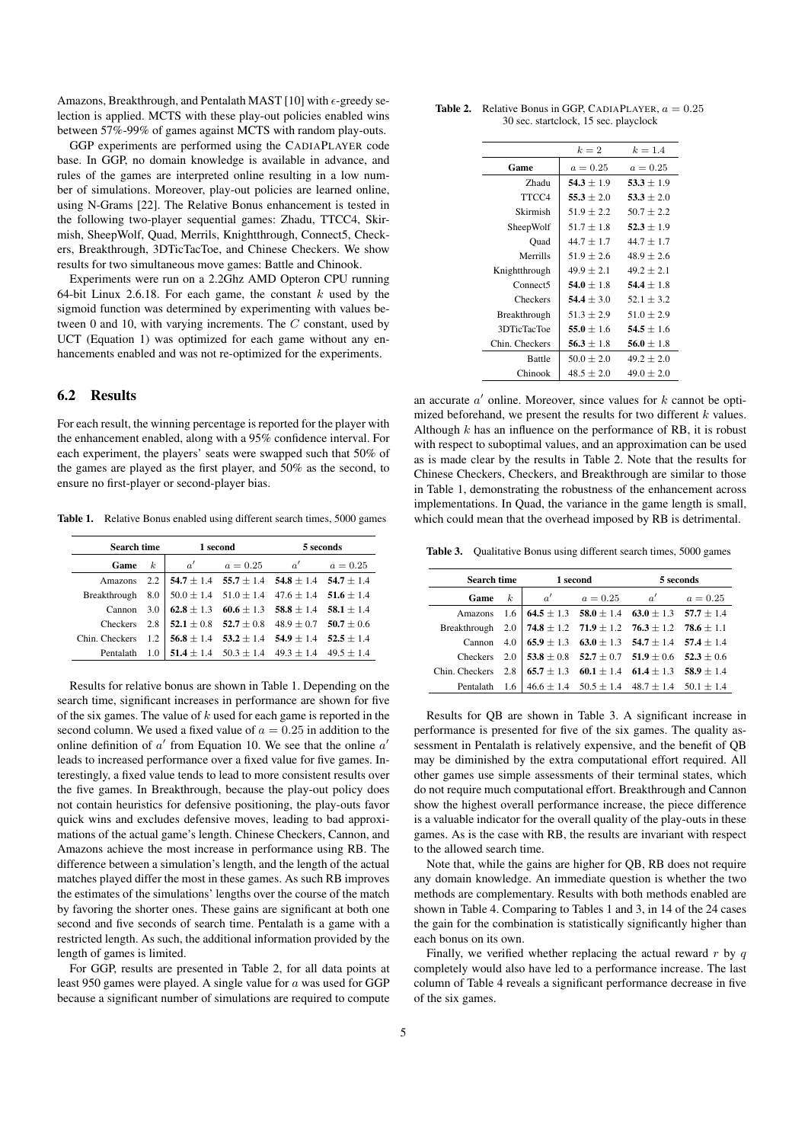Amazons, Breakthrough, and Pentalath MAST [10] with  $\epsilon$ -greedy selection is applied. MCTS with these play-out policies enabled wins between 57%-99% of games against MCTS with random play-outs.

GGP experiments are performed using the CADIAPLAYER code base. In GGP, no domain knowledge is available in advance, and rules of the games are interpreted online resulting in a low number of simulations. Moreover, play-out policies are learned online, using N-Grams [22]. The Relative Bonus enhancement is tested in the following two-player sequential games: Zhadu, TTCC4, Skirmish, SheepWolf, Quad, Merrils, Knightthrough, Connect5, Checkers, Breakthrough, 3DTicTacToe, and Chinese Checkers. We show results for two simultaneous move games: Battle and Chinook.

Experiments were run on a 2.2Ghz AMD Opteron CPU running 64-bit Linux 2.6.18. For each game, the constant  $k$  used by the sigmoid function was determined by experimenting with values between 0 and 10, with varying increments. The C constant, used by UCT (Equation 1) was optimized for each game without any enhancements enabled and was not re-optimized for the experiments.

#### 6.2 Results

For each result, the winning percentage is reported for the player with the enhancement enabled, along with a 95% confidence interval. For each experiment, the players' seats were swapped such that 50% of the games are played as the first player, and 50% as the second, to ensure no first-player or second-player bias.

Table 1. Relative Bonus enabled using different search times, 5000 games

|                                                                                  | Search time      |                                                                                               | 1 second                                                    |    | 5 seconds  |
|----------------------------------------------------------------------------------|------------------|-----------------------------------------------------------------------------------------------|-------------------------------------------------------------|----|------------|
| Game                                                                             | $\boldsymbol{k}$ | $a^{\prime}$                                                                                  | $a = 0.25$                                                  | a' | $a = 0.25$ |
| Amazons                                                                          |                  | 2.2   <b>54.7</b> $\pm$ 1.4 <b>55.7</b> $\pm$ 1.4 <b>54.8</b> $\pm$ 1.4 <b>54.7</b> $\pm$ 1.4 |                                                             |    |            |
| Breakthrough $8.0$   $50.0 \pm 1.4$ $51.0 \pm 1.4$ $47.6 \pm 1.4$ $51.6 \pm 1.4$ |                  |                                                                                               |                                                             |    |            |
| Cannon                                                                           | 3.0              |                                                                                               | $62.8 \pm 1.3$ $60.6 \pm 1.3$ $58.8 \pm 1.4$ $58.1 \pm 1.4$ |    |            |
| Checkers 2.8                                                                     |                  |                                                                                               | 52.1 $\pm$ 0.8 52.7 $\pm$ 0.8 48.9 $\pm$ 0.7 50.7 $\pm$ 0.6 |    |            |
| Chin. Checkers                                                                   | $1.2^{\circ}$    |                                                                                               | $56.8 \pm 1.4$ $53.2 \pm 1.4$ $54.9 \pm 1.4$ $52.5 \pm 1.4$ |    |            |
| Pentalath                                                                        | 1.0              |                                                                                               | $51.4 \pm 1.4$ $50.3 \pm 1.4$ $49.3 \pm 1.4$ $49.5 \pm 1.4$ |    |            |

Results for relative bonus are shown in Table 1. Depending on the search time, significant increases in performance are shown for five of the six games. The value of  $k$  used for each game is reported in the second column. We used a fixed value of  $a = 0.25$  in addition to the online definition of  $a'$  from Equation 10. We see that the online  $a'$ leads to increased performance over a fixed value for five games. Interestingly, a fixed value tends to lead to more consistent results over the five games. In Breakthrough, because the play-out policy does not contain heuristics for defensive positioning, the play-outs favor quick wins and excludes defensive moves, leading to bad approximations of the actual game's length. Chinese Checkers, Cannon, and Amazons achieve the most increase in performance using RB. The difference between a simulation's length, and the length of the actual matches played differ the most in these games. As such RB improves the estimates of the simulations' lengths over the course of the match by favoring the shorter ones. These gains are significant at both one second and five seconds of search time. Pentalath is a game with a restricted length. As such, the additional information provided by the length of games is limited.

For GGP, results are presented in Table 2, for all data points at least 950 games were played. A single value for a was used for GGP because a significant number of simulations are required to compute

**Table 2.** Relative Bonus in GGP, CADIAPLAYER,  $a = 0.25$ 30 sec. startclock, 15 sec. playclock

|                      | $k=2$          | $k = 1.4$      |
|----------------------|----------------|----------------|
| Game                 | $a = 0.25$     | $a = 0.25$     |
| Zhadu                | $54.3 + 1.9$   | $53.3 + 1.9$   |
| TTCC4                | $55.3 + 2.0$   | $53.3 \pm 2.0$ |
| Skirmish             | $51.9 + 2.2$   | $50.7 + 2.2$   |
| SheepWolf            | $51.7 \pm 1.8$ | $52.3 + 1.9$   |
| Ouad                 | $44.7 + 1.7$   | $44.7 + 1.7$   |
| Merrills             | $51.9 + 2.6$   | $48.9 + 2.6$   |
| Knightthrough        | $49.9 + 2.1$   | $49.2 + 2.1$   |
| Connect <sub>5</sub> | $54.0 + 1.8$   | $54.4 + 1.8$   |
| Checkers             | $54.4 + 3.0$   | $52.1 + 3.2$   |
| Breakthrough         | $51.3 + 2.9$   | $51.0 + 2.9$   |
| 3DTicTacToe          | $55.0 + 1.6$   | $54.5 + 1.6$   |
| Chin. Checkers       | $56.3 + 1.8$   | $56.0 + 1.8$   |
| <b>Battle</b>        | $50.0 + 2.0$   | $49.2 + 2.0$   |
| Chinook              | $48.5 + 2.0$   | $49.0 \pm 2.0$ |

an accurate  $a'$  online. Moreover, since values for  $k$  cannot be optimized beforehand, we present the results for two different  $k$  values. Although  $k$  has an influence on the performance of RB, it is robust with respect to suboptimal values, and an approximation can be used as is made clear by the results in Table 2. Note that the results for Chinese Checkers, Checkers, and Breakthrough are similar to those in Table 1, demonstrating the robustness of the enhancement across implementations. In Quad, the variance in the game length is small, which could mean that the overhead imposed by RB is detrimental.

Table 3. Qualitative Bonus using different search times, 5000 games

|                  | <b>Search time</b> |                                                                        | 1 second                                                    |              | 5 seconds  |  |
|------------------|--------------------|------------------------------------------------------------------------|-------------------------------------------------------------|--------------|------------|--|
| Game             | $\mathbf{k}$       | $a^{\prime}$                                                           | $a = 0.25$                                                  | $a^{\prime}$ | $a = 0.25$ |  |
| Amazons          |                    | 1.6 $\mid$ 64.5 $\pm$ 1.3 58.0 $\pm$ 1.4 63.0 $\pm$ 1.3 57.7 $\pm$ 1.4 |                                                             |              |            |  |
| Breakthrough 2.0 |                    |                                                                        | 74.8 ± 1.2 71.9 ± 1.2 76.3 ± 1.2 78.6 ± 1.1                 |              |            |  |
| Cannon           | 4.0                |                                                                        | $65.9 \pm 1.3$ $63.0 \pm 1.3$ $54.7 \pm 1.4$ $57.4 \pm 1.4$ |              |            |  |
| <b>Checkers</b>  |                    | 2.0 $\mid$ 53.8 $\pm$ 0.8 52.7 $\pm$ 0.7 51.9 $\pm$ 0.6 52.3 $\pm$ 0.6 |                                                             |              |            |  |
| Chin. Checkers   | 2.8                |                                                                        | $65.7 \pm 1.3$ $60.1 \pm 1.4$ $61.4 \pm 1.3$ $58.9 \pm 1.4$ |              |            |  |
| Pentalath        | -1.6               |                                                                        | $46.6 \pm 1.4$ $50.5 \pm 1.4$ $48.7 \pm 1.4$ $50.1 \pm 1.4$ |              |            |  |

Results for QB are shown in Table 3. A significant increase in performance is presented for five of the six games. The quality assessment in Pentalath is relatively expensive, and the benefit of QB may be diminished by the extra computational effort required. All other games use simple assessments of their terminal states, which do not require much computational effort. Breakthrough and Cannon show the highest overall performance increase, the piece difference is a valuable indicator for the overall quality of the play-outs in these games. As is the case with RB, the results are invariant with respect to the allowed search time.

Note that, while the gains are higher for QB, RB does not require any domain knowledge. An immediate question is whether the two methods are complementary. Results with both methods enabled are shown in Table 4. Comparing to Tables 1 and 3, in 14 of the 24 cases the gain for the combination is statistically significantly higher than each bonus on its own.

Finally, we verified whether replacing the actual reward  $r$  by  $q$ completely would also have led to a performance increase. The last column of Table 4 reveals a significant performance decrease in five of the six games.